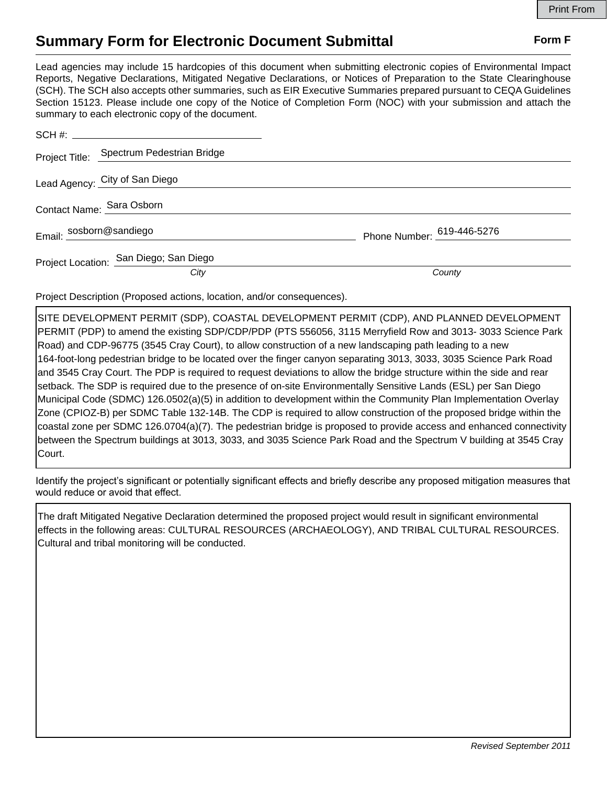## **Summary Form for Electronic Document Submittal Form F Form F**

Lead agencies may include 15 hardcopies of this document when submitting electronic copies of Environmental Impact Reports, Negative Declarations, Mitigated Negative Declarations, or Notices of Preparation to the State Clearinghouse (SCH). The SCH also accepts other summaries, such as EIR Executive Summaries prepared pursuant to CEQA Guidelines Section 15123. Please include one copy of the Notice of Completion Form (NOC) with your submission and attach the summary to each electronic copy of the document.

|                         | Project Title: Spectrum Pedestrian Bridge |                            |
|-------------------------|-------------------------------------------|----------------------------|
|                         | Lead Agency: City of San Diego            |                            |
|                         | Contact Name: Sara Osborn                 |                            |
| Email: sosborn@sandiego |                                           | Phone Number: 619-446-5276 |
|                         | Project Location: San Diego; San Diego    |                            |
|                         | City                                      | County                     |

Project Description (Proposed actions, location, and/or consequences).

SITE DEVELOPMENT PERMIT (SDP), COASTAL DEVELOPMENT PERMIT (CDP), AND PLANNED DEVELOPMENT PERMIT (PDP) to amend the existing SDP/CDP/PDP (PTS 556056, 3115 Merryfield Row and 3013- 3033 Science Park Road) and CDP-96775 (3545 Cray Court), to allow construction of a new landscaping path leading to a new 164-foot-long pedestrian bridge to be located over the finger canyon separating 3013, 3033, 3035 Science Park Road and 3545 Cray Court. The PDP is required to request deviations to allow the bridge structure within the side and rear setback. The SDP is required due to the presence of on-site Environmentally Sensitive Lands (ESL) per San Diego Municipal Code (SDMC) 126.0502(a)(5) in addition to development within the Community Plan Implementation Overlay Zone (CPIOZ-B) per SDMC Table 132-14B. The CDP is required to allow construction of the proposed bridge within the coastal zone per SDMC 126.0704(a)(7). The pedestrian bridge is proposed to provide access and enhanced connectivity between the Spectrum buildings at 3013, 3033, and 3035 Science Park Road and the Spectrum V building at 3545 Cray Court.

Identify the project's significant or potentially significant effects and briefly describe any proposed mitigation measures that would reduce or avoid that effect.

The draft Mitigated Negative Declaration determined the proposed project would result in significant environmental effects in the following areas: CULTURAL RESOURCES (ARCHAEOLOGY), AND TRIBAL CULTURAL RESOURCES. Cultural and tribal monitoring will be conducted.